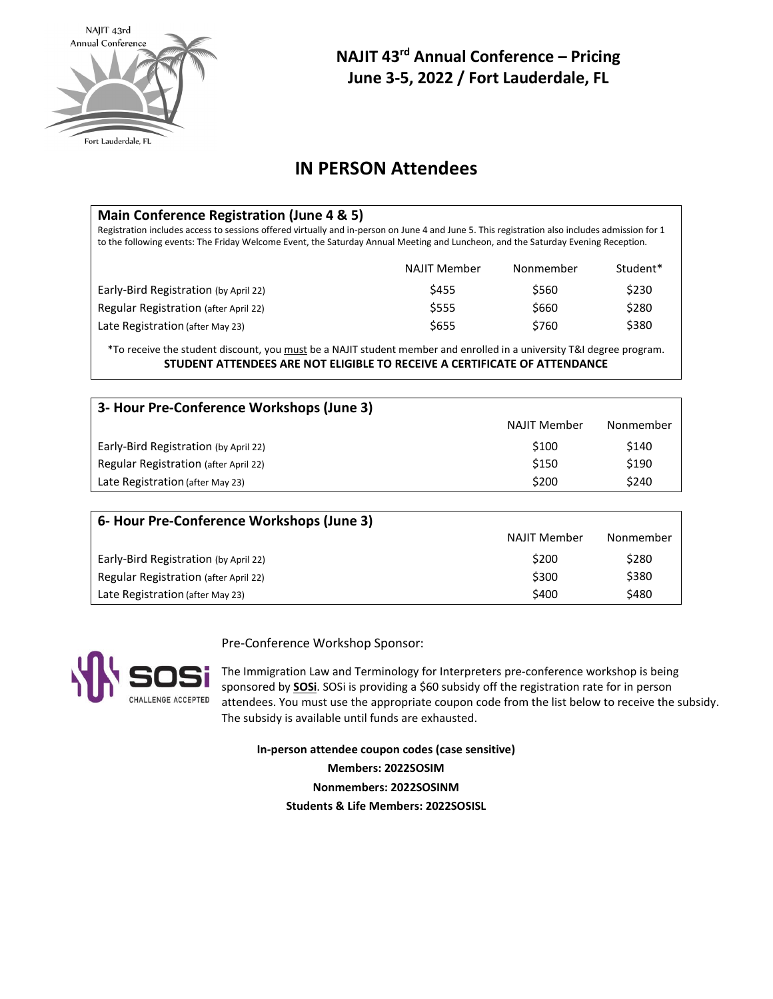

# **NAJIT 43rd Annual Conference – Pricing June 3-5, 2022 / Fort Lauderdale, FL**

### **IN PERSON Attendees**

| Main Conference Registration (June 4 & 5)<br>Registration includes access to sessions offered virtually and in-person on June 4 and June 5. This registration also includes admission for 1<br>to the following events: The Friday Welcome Event, the Saturday Annual Meeting and Luncheon, and the Saturday Evening Reception. |                     |           |          |  |  |  |
|---------------------------------------------------------------------------------------------------------------------------------------------------------------------------------------------------------------------------------------------------------------------------------------------------------------------------------|---------------------|-----------|----------|--|--|--|
|                                                                                                                                                                                                                                                                                                                                 | <b>NAJIT Member</b> | Nonmember | Student* |  |  |  |
| Early-Bird Registration (by April 22)                                                                                                                                                                                                                                                                                           | \$455               | \$560     | \$230    |  |  |  |
| Regular Registration (after April 22)                                                                                                                                                                                                                                                                                           | \$555               | \$660     | \$280    |  |  |  |
| Late Registration (after May 23)                                                                                                                                                                                                                                                                                                | \$655               | \$760     | \$380    |  |  |  |
|                                                                                                                                                                                                                                                                                                                                 |                     |           |          |  |  |  |

\*To receive the student discount, you must be a NAJIT student member and enrolled in a university T&I degree program. **STUDENT ATTENDEES ARE NOT ELIGIBLE TO RECEIVE A CERTIFICATE OF ATTENDANCE**

| 3- Hour Pre-Conference Workshops (June 3) |              |           |  |  |  |  |  |
|-------------------------------------------|--------------|-----------|--|--|--|--|--|
|                                           | NAJIT Member | Nonmember |  |  |  |  |  |
| Early-Bird Registration (by April 22)     | \$100        | \$140     |  |  |  |  |  |
| Regular Registration (after April 22)     | \$150        | \$190     |  |  |  |  |  |
| Late Registration (after May 23)          | \$200        | \$240     |  |  |  |  |  |

| 6- Hour Pre-Conference Workshops (June 3) |                     |           |  |  |  |  |  |
|-------------------------------------------|---------------------|-----------|--|--|--|--|--|
|                                           | <b>NAJIT Member</b> | Nonmember |  |  |  |  |  |
| Early-Bird Registration (by April 22)     | \$200               | \$280     |  |  |  |  |  |
| Regular Registration (after April 22)     | \$300               | \$380     |  |  |  |  |  |
| Late Registration (after May 23)          | \$400               | \$480     |  |  |  |  |  |

Pre-Conference Workshop Sponsor:

CHALLENGE ACCEPTED

The Immigration Law and Terminology for Interpreters pre-conference workshop is being sponsored by **[SOSi](https://www.sosi.com/)**. SOSi is providing a \$60 subsidy off the registration rate for in person attendees. You must use the appropriate coupon code from the list below to receive the subsidy. The subsidy is available until funds are exhausted.

**In-person attendee coupon codes (case sensitive) Members: 2022SOSIM Nonmembers: 2022SOSINM Students & Life Members: 2022SOSISL**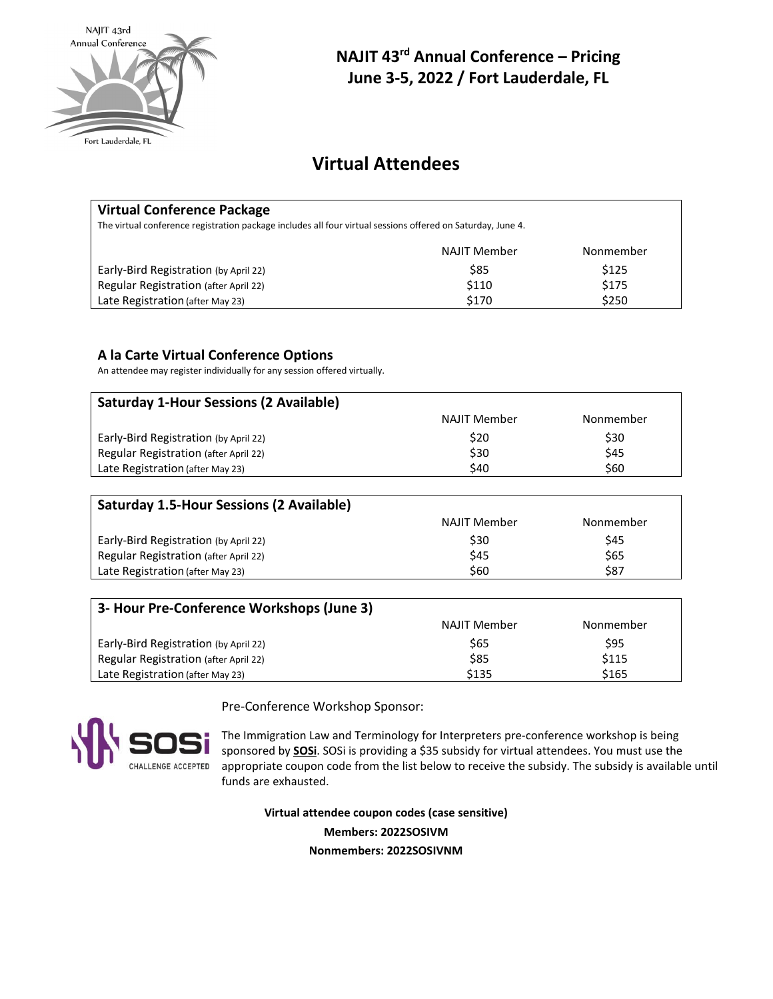

# **NAJIT 43rd Annual Conference – Pricing June 3-5, 2022 / Fort Lauderdale, FL**

# **Virtual Attendees**

#### **Virtual Conference Package**

The virtual conference registration package includes all four virtual sessions offered on Saturday, June 4.

|                                       | NAJIT Member | Nonmember |
|---------------------------------------|--------------|-----------|
| Early-Bird Registration (by April 22) | \$85         | \$125     |
| Regular Registration (after April 22) | \$110        | \$175     |
| Late Registration (after May 23)      | \$170        | \$250     |

#### **A la Carte Virtual Conference Options**

An attendee may register individually for any session offered virtually.

| <b>Saturday 1-Hour Sessions (2 Available)</b> |                     |           |  |  |  |  |  |
|-----------------------------------------------|---------------------|-----------|--|--|--|--|--|
|                                               | <b>NAJIT Member</b> | Nonmember |  |  |  |  |  |
| Early-Bird Registration (by April 22)         | \$20                | \$30      |  |  |  |  |  |
| Regular Registration (after April 22)         | \$30                | \$45      |  |  |  |  |  |
| Late Registration (after May 23)              | \$40                | \$60      |  |  |  |  |  |
|                                               |                     |           |  |  |  |  |  |

| <b>Saturday 1.5-Hour Sessions (2 Available)</b> |                     |           |  |  |  |  |
|-------------------------------------------------|---------------------|-----------|--|--|--|--|
|                                                 | <b>NAJIT Member</b> | Nonmember |  |  |  |  |
| Early-Bird Registration (by April 22)           | \$30                | \$45      |  |  |  |  |
| Regular Registration (after April 22)           | \$45                | \$65      |  |  |  |  |
| Late Registration (after May 23)                | \$60                | \$87      |  |  |  |  |

| 3- Hour Pre-Conference Workshops (June 3) |              |           |  |  |  |  |
|-------------------------------------------|--------------|-----------|--|--|--|--|
|                                           | NAJIT Member | Nonmember |  |  |  |  |
| Early-Bird Registration (by April 22)     | S65          | \$95      |  |  |  |  |
| Regular Registration (after April 22)     | \$85         | \$115     |  |  |  |  |
| Late Registration (after May 23)          | \$135        | \$165     |  |  |  |  |



Pre-Conference Workshop Sponsor:

The Immigration Law and Terminology for Interpreters pre-conference workshop is being sponsored by **[SOSi](https://www.sosi.com/)**. SOSi is providing a \$35 subsidy for virtual attendees. You must use the appropriate coupon code from the list below to receive the subsidy. The subsidy is available until funds are exhausted.

**Virtual attendee coupon codes (case sensitive) Members: 2022SOSIVM Nonmembers: 2022SOSIVNM**